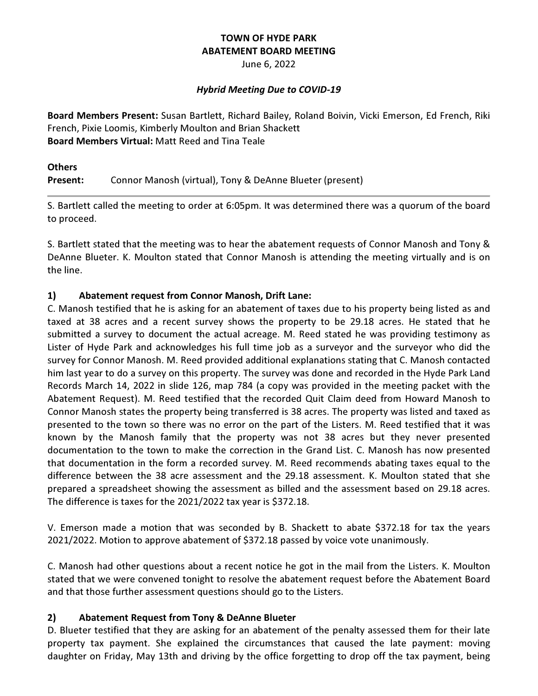# TOWN OF HYDE PARK ABATEMENT BOARD MEETING

June 6, 2022

# Hybrid Meeting Due to COVID-19

Board Members Present: Susan Bartlett, Richard Bailey, Roland Boivin, Vicki Emerson, Ed French, Riki French, Pixie Loomis, Kimberly Moulton and Brian Shackett Board Members Virtual: Matt Reed and Tina Teale

**Others** Present: Connor Manosh (virtual), Tony & DeAnne Blueter (present)

S. Bartlett called the meeting to order at 6:05pm. It was determined there was a quorum of the board to proceed.

S. Bartlett stated that the meeting was to hear the abatement requests of Connor Manosh and Tony & DeAnne Blueter. K. Moulton stated that Connor Manosh is attending the meeting virtually and is on the line.

# 1) Abatement request from Connor Manosh, Drift Lane:

C. Manosh testified that he is asking for an abatement of taxes due to his property being listed as and taxed at 38 acres and a recent survey shows the property to be 29.18 acres. He stated that he submitted a survey to document the actual acreage. M. Reed stated he was providing testimony as Lister of Hyde Park and acknowledges his full time job as a surveyor and the surveyor who did the survey for Connor Manosh. M. Reed provided additional explanations stating that C. Manosh contacted him last year to do a survey on this property. The survey was done and recorded in the Hyde Park Land Records March 14, 2022 in slide 126, map 784 (a copy was provided in the meeting packet with the Abatement Request). M. Reed testified that the recorded Quit Claim deed from Howard Manosh to Connor Manosh states the property being transferred is 38 acres. The property was listed and taxed as presented to the town so there was no error on the part of the Listers. M. Reed testified that it was known by the Manosh family that the property was not 38 acres but they never presented documentation to the town to make the correction in the Grand List. C. Manosh has now presented that documentation in the form a recorded survey. M. Reed recommends abating taxes equal to the difference between the 38 acre assessment and the 29.18 assessment. K. Moulton stated that she prepared a spreadsheet showing the assessment as billed and the assessment based on 29.18 acres. The difference is taxes for the 2021/2022 tax year is \$372.18.

V. Emerson made a motion that was seconded by B. Shackett to abate \$372.18 for tax the years 2021/2022. Motion to approve abatement of \$372.18 passed by voice vote unanimously.

C. Manosh had other questions about a recent notice he got in the mail from the Listers. K. Moulton stated that we were convened tonight to resolve the abatement request before the Abatement Board and that those further assessment questions should go to the Listers.

# 2) Abatement Request from Tony & DeAnne Blueter

D. Blueter testified that they are asking for an abatement of the penalty assessed them for their late property tax payment. She explained the circumstances that caused the late payment: moving daughter on Friday, May 13th and driving by the office forgetting to drop off the tax payment, being